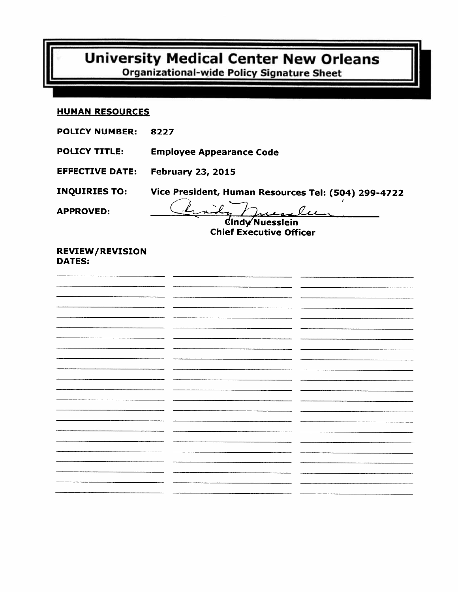# **University Medical Center New Orleans Organizational-wide Policy Signature Sheet**

#### **HUMAN RESOURCES**

- **POLICY NUMBER:** 8227
- **Employee Appearance Code POLICY TITLE:**
- **EFFECTIVE DATE: February 23, 2015**

Vice President, Human Resources Tel: (504) 299-4722 **INQUIRIES TO:** 

**APPROVED:** 

Cindy Nuesslein

**Chief Executive Officer** 

#### **REVIEW/REVISION DATES:**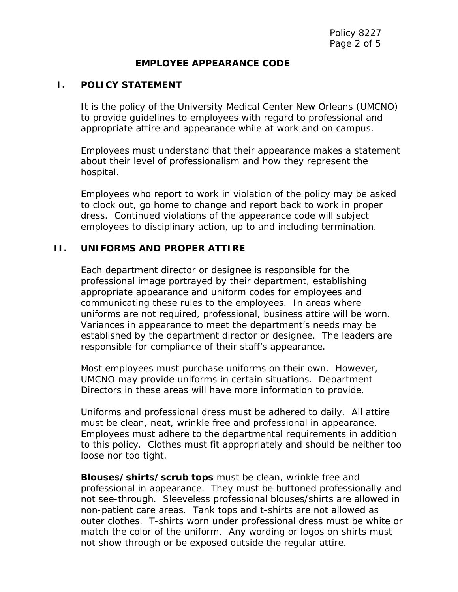#### **EMPLOYEE APPEARANCE CODE**

#### **I. POLICY STATEMENT**

It is the policy of the University Medical Center New Orleans (UMCNO) to provide guidelines to employees with regard to professional and appropriate attire and appearance while at work and on campus.

Employees must understand that their appearance makes a statement about their level of professionalism and how they represent the hospital.

Employees who report to work in violation of the policy may be asked to clock out, go home to change and report back to work in proper dress. Continued violations of the appearance code will subject employees to disciplinary action, up to and including termination.

#### **II. UNIFORMS AND PROPER ATTIRE**

Each department director or designee is responsible for the professional image portrayed by their department, establishing appropriate appearance and uniform codes for employees and communicating these rules to the employees. In areas where uniforms are not required, professional, business attire will be worn. Variances in appearance to meet the department's needs may be established by the department director or designee. The leaders are responsible for compliance of their staff's appearance.

Most employees must purchase uniforms on their own. However, UMCNO may provide uniforms in certain situations. Department Directors in these areas will have more information to provide.

Uniforms and professional dress must be adhered to daily. All attire must be clean, neat, wrinkle free and professional in appearance. Employees must adhere to the departmental requirements in addition to this policy. Clothes must fit appropriately and should be neither too loose nor too tight.

**Blouses/shirts/scrub tops** must be clean, wrinkle free and professional in appearance. They must be buttoned professionally and not see-through. Sleeveless professional blouses/shirts are allowed in non-patient care areas. Tank tops and t-shirts are not allowed as outer clothes. T-shirts worn under professional dress must be white or match the color of the uniform. Any wording or logos on shirts must not show through or be exposed outside the regular attire.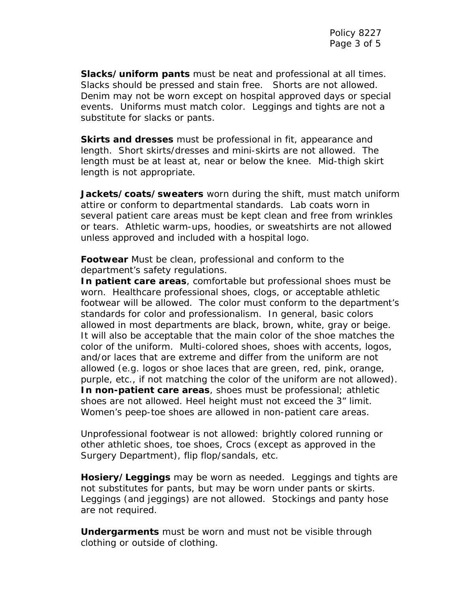**Slacks/uniform pants** must be neat and professional at all times. Slacks should be pressed and stain free. Shorts are not allowed. Denim may not be worn except on hospital approved days or special events. Uniforms must match color. Leggings and tights are not a substitute for slacks or pants.

**Skirts and dresses** must be professional in fit, appearance and length. Short skirts/dresses and mini-skirts are not allowed. The length must be at least at, near or below the knee. Mid-thigh skirt length is not appropriate.

 **Jackets/coats/sweaters** worn during the shift, must match uniform attire or conform to departmental standards. Lab coats worn in several patient care areas must be kept clean and free from wrinkles or tears. Athletic warm-ups, hoodies, or sweatshirts are not allowed unless approved and included with a hospital logo.

**Footwear** Must be clean, professional and conform to the department's safety regulations.

**In patient care areas**, comfortable but professional shoes must be worn. Healthcare professional shoes, clogs, or acceptable athletic footwear will be allowed. The color must conform to the department's standards for color and professionalism. In general, basic colors allowed in most departments are black, brown, white, gray or beige. It will also be acceptable that the main color of the shoe matches the color of the uniform. Multi-colored shoes, shoes with accents, logos, and/or laces that are extreme and differ from the uniform are not allowed (e.g. logos or shoe laces that are green, red, pink, orange, purple, etc., if not matching the color of the uniform are not allowed). **In non-patient care areas**, shoes must be professional; athletic shoes are not allowed. Heel height must not exceed the 3" limit. Women's peep-toe shoes are allowed in non-patient care areas.

Unprofessional footwear is not allowed: brightly colored running or other athletic shoes, toe shoes, Crocs (except as approved in the Surgery Department), flip flop/sandals, etc.

**Hosiery/Leggings** may be worn as needed. Leggings and tights are not substitutes for pants, but may be worn under pants or skirts. Leggings (and jeggings) are not allowed. Stockings and panty hose are not required.

**Undergarments** must be worn and must not be visible through clothing or outside of clothing.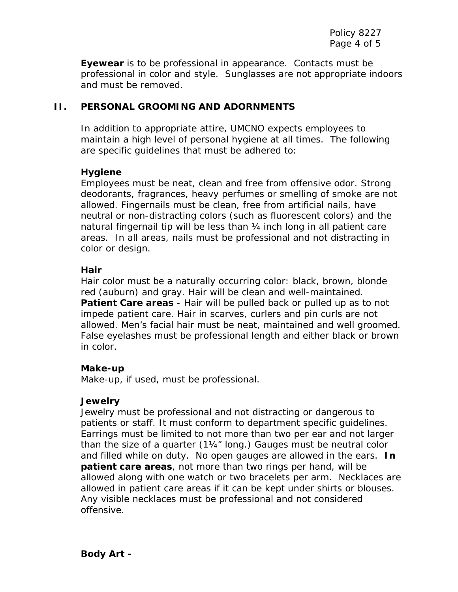**Eyewear** is to be professional in appearance. Contacts must be professional in color and style. Sunglasses are not appropriate indoors and must be removed.

## **II. PERSONAL GROOMING AND ADORNMENTS**

In addition to appropriate attire, UMCNO expects employees to maintain a high level of personal hygiene at all times. The following are specific guidelines that must be adhered to:

## **Hygiene**

Employees must be neat, clean and free from offensive odor. Strong deodorants, fragrances, heavy perfumes or smelling of smoke are not allowed. Fingernails must be clean, free from artificial nails, have neutral or non-distracting colors (such as fluorescent colors) and the natural fingernail tip will be less than ¼ inch long in all patient care areas. In all areas, nails must be professional and not distracting in color or design.

## **Hair**

Hair color must be a naturally occurring color: black, brown, blonde red (auburn) and gray. Hair will be clean and well-maintained. **Patient Care areas** - Hair will be pulled back or pulled up as to not impede patient care. Hair in scarves, curlers and pin curls are not allowed. Men's facial hair must be neat, maintained and well groomed. False eyelashes must be professional length and either black or brown in color.

#### **Make-up**

Make-up, if used, must be professional.

#### **Jewelry**

Jewelry must be professional and not distracting or dangerous to patients or staff. It must conform to department specific guidelines. Earrings must be limited to not more than two per ear and not larger than the size of a quarter (1¼" long.) Gauges must be neutral color and filled while on duty. No open gauges are allowed in the ears. **In patient care areas**, not more than two rings per hand, will be allowed along with one watch or two bracelets per arm. Necklaces are allowed in patient care areas if it can be kept under shirts or blouses. Any visible necklaces must be professional and not considered offensive.